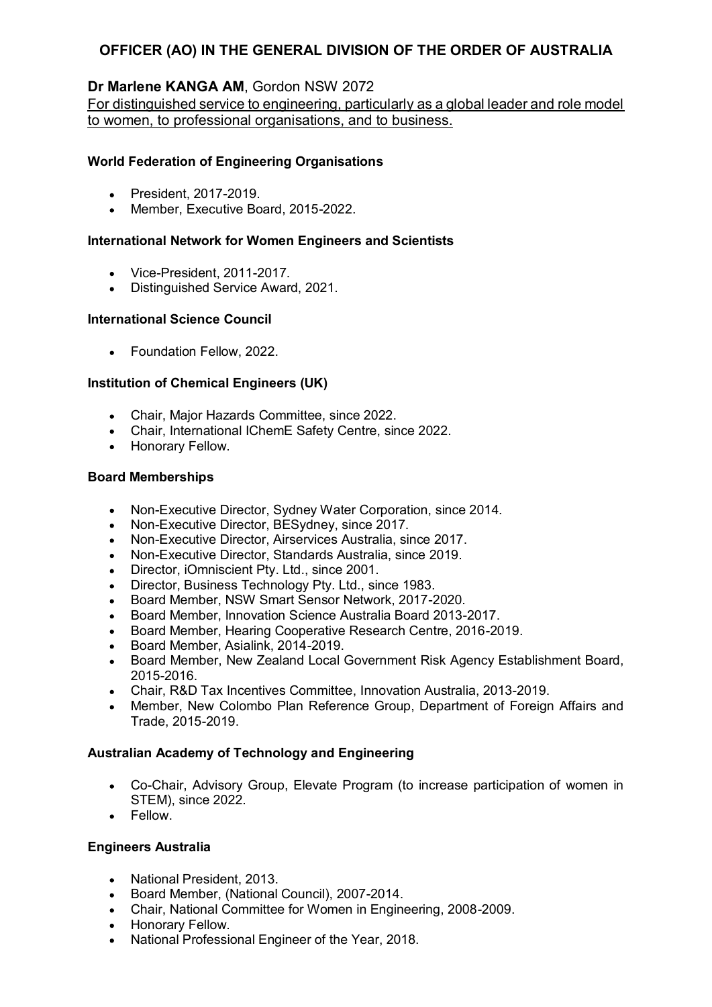# OFFICER (AO) IN THE GENERAL DIVISION OF THE ORDER OF AUSTRALIA

## Dr Marlene KANGA AM, Gordon NSW 2072

For distinguished service to engineering, particularly as a global leader and role model to women, to professional organisations, and to business.

## World Federation of Engineering Organisations

- President, 2017-2019.
- Member, Executive Board, 2015-2022.

### International Network for Women Engineers and Scientists

- Vice-President, 2011-2017
- Distinguished Service Award, 2021.

## International Science Council

• Foundation Fellow, 2022.

## Institution of Chemical Engineers (UK)

- Chair, Major Hazards Committee, since 2022.
- Chair, International IChemE Safety Centre, since 2022.
- Honorary Fellow.

#### Board Memberships

- Non-Executive Director, Sydney Water Corporation, since 2014.  $\bullet$
- Non-Executive Director, BESydney, since 2017.  $\bullet$
- Non-Executive Director, Airservices Australia, since 2017.
- Non-Executive Director, Standards Australia, since 2019.  $\bullet$
- Director, iOmniscient Pty. Ltd., since 2001.
- Director, Business Technology Pty. Ltd., since 1983.  $\bullet$
- Board Member, NSW Smart Sensor Network, 2017-2020.
- Board Member, Innovation Science Australia Board 2013-2017.
- Board Member, Hearing Cooperative Research Centre, 2016-2019.
- Board Member, Asialink, 2014-2019.
- Board Member, New Zealand Local Government Risk Agency Establishment Board, 2015-2016.
- Chair, R&D Tax Incentives Committee, Innovation Australia, 2013-2019.  $\bullet$
- Member, New Colombo Plan Reference Group, Department of Foreign Affairs and Trade, 2015-2019.

## Australian Academy of Technology and Engineering

- Co-Chair, Advisory Group, Elevate Program (to increase participation of women in  $\bullet$ STEM), since 2022.
- Fellow.

#### Engineers Australia

- National President, 2013.  $\bullet$
- Board Member, (National Council), 2007-2014.
- Chair, National Committee for Women in Engineering, 2008-2009.
- Honorary Fellow.
- National Professional Engineer of the Year, 2018.